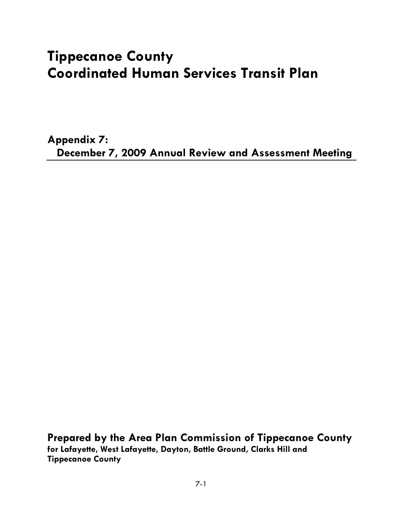# **Tippecanoe County Coordinated Human Services Transit Plan**

**Appendix 7: December 7, 2009 Annual Review and Assessment Meeting** 

**Prepared by the Area Plan Commission of Tippecanoe County for Lafayette, West Lafayette, Dayton, Battle Ground, Clarks Hill and Tippecanoe County**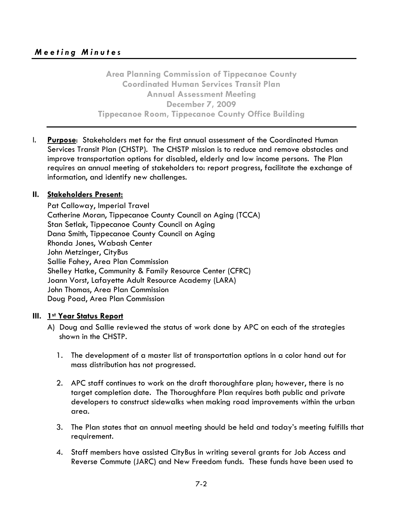**Area Planning Commission of Tippecanoe County Coordinated Human Services Transit Plan Annual Assessment Meeting December 7, 2009 Tippecanoe Room, Tippecanoe County Office Building** 

I. **Purpose**: Stakeholders met for the first annual assessment of the Coordinated Human Services Transit Plan (CHSTP). The CHSTP mission is to reduce and remove obstacles and improve transportation options for disabled, elderly and low income persons. The Plan requires an annual meeting of stakeholders to: report progress, facilitate the exchange of information, and identify new challenges.

#### **II. Stakeholders Present:**

Pat Calloway, Imperial Travel Catherine Moran, Tippecanoe County Council on Aging (TCCA) Stan Setlak, Tippecanoe County Council on Aging Dana Smith, Tippecanoe County Council on Aging Rhonda Jones, Wabash Center John Metzinger, CityBus Sallie Fahey, Area Plan Commission Shelley Hatke, Community & Family Resource Center (CFRC) Joann Vorst, Lafayette Adult Resource Academy (LARA) John Thomas, Area Plan Commission Doug Poad, Area Plan Commission

#### **III. 1st Year Status Report**

- A) Doug and Sallie reviewed the status of work done by APC on each of the strategies shown in the CHSTP.
	- 1. The development of a master list of transportation options in a color hand out for mass distribution has not progressed.
	- 2. APC staff continues to work on the draft thoroughfare plan; however, there is no target completion date. The Thoroughfare Plan requires both public and private developers to construct sidewalks when making road improvements within the urban area.
	- 3. The Plan states that an annual meeting should be held and today's meeting fulfills that requirement.
	- 4. Staff members have assisted CityBus in writing several grants for Job Access and Reverse Commute (JARC) and New Freedom funds. These funds have been used to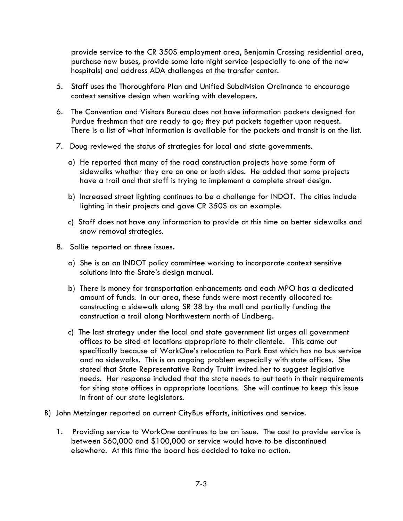provide service to the CR 350S employment area, Benjamin Crossing residential area, purchase new buses, provide some late night service (especially to one of the new hospitals) and address ADA challenges at the transfer center.

- context sensitive design when working with developers. 5. Staff uses the Thoroughfare Plan and Unified Subdivision Ordinance to encourage
- Purdue freshman that are ready to go; they put packets together upon request. 6. The Convention and Visitors Bureau does not have information packets designed for There is a list of what information is available for the packets and transit is on the list.
- 7. Doug reviewed the status of strategies for local and state governments.
	- a) He reported that many of the road construction projects have some form of sidewalks whether they are on one or both sides. He added that some projects have a trail and that staff is trying to implement a complete street design.
	- b) Increased street lighting continues to be a challenge for INDOT. The cities include lighting in their projects and gave CR 350S as an example.
	- snow removal strategies. c) Staff does not have any information to provide at this time on better sidewalks and
- 8. Sallie reported on three issues.
	- a) She is on an INDOT policy committee working to incorporate context sensitive solutions into the State's design manual.
	- b) There is money for transportation enhancements and each MPO has a dedicated amount of funds. In our area, these funds were most recently allocated to: constructing a sidewalk along SR 38 by the mall and partially funding the construction a trail along Northwestern north of Lindberg.
	- c) The last strategy under the local and state government list urges all government offices to be sited at locations appropriate to their clientele. This came out specifically because of WorkOne's relocation to Park East which has no bus service and no sidewalks. This is an ongoing problem especially with state offices. She stated that State Representative Randy Truitt invited her to suggest legislative needs. Her response included that the state needs to put teeth in their requirements for siting state offices in appropriate locations. She will continue to keep this issue in front of our state legislators.
- B) John Metzinger reported on current CityBus efforts, initiatives and service.
	- 1. Providing service to WorkOne continues to be an issue. The cost to provide service is elsewhere. At this time the board has decided to take no action. 7-3 between \$60,000 and \$100,000 or service would have to be discontinued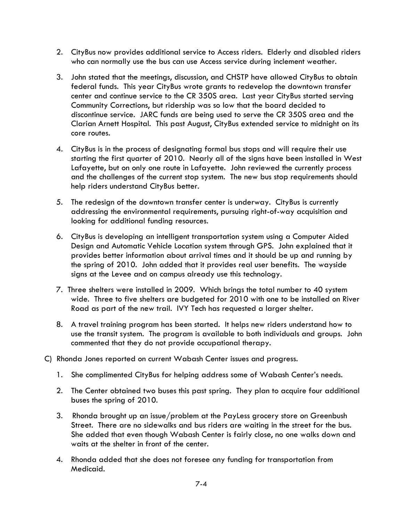- 2. CityBus now provides additional service to Access riders. Elderly and disabled riders who can normally use the bus can use Access service during inclement weather.
- 3. John stated that the meetings, discussion, and CHSTP have allowed CityBus to obtain federal funds. This year CityBus wrote grants to redevelop the downtown transfer center and continue service to the CR 350S area. Last year CityBus started serving Community Corrections, but ridership was so low that the board decided to discontinue service. JARC funds are being used to serve the CR 350S area and the Clarian Arnett Hospital. This past August, CityBus extended service to midnight on its core routes.
- 4. CityBus is in the process of designating formal bus stops and will require their use starting the first quarter of 2010. Nearly all of the signs have been installed in West Lafayette, but on only one route in Lafayette. John reviewed the currently process and the challenges of the current stop system. The new bus stop requirements should help riders understand CityBus better.
- 5. The redesign of the downtown transfer center is underway. CityBus is currently addressing the environmental requirements, pursuing right-of-way acquisition and looking for additional funding resources.
- 6. CityBus is developing an intelligent transportation system using a Computer Aided Design and Automatic Vehicle Location system through GPS. John explained that it provides better information about arrival times and it should be up and running by the spring of 2010. John added that it provides real user benefits. The wayside signs at the Levee and on campus already use this technology.
- 7. Three shelters were installed in 2009. Which brings the total number to 40 system wide. Three to five shelters are budgeted for 2010 with one to be installed on River Road as part of the new trail. IVY Tech has requested a larger shelter.
- 8. A travel training program has been started. It helps new riders understand how to use the transit system. The program is available to both individuals and groups. John commented that they do not provide occupational therapy.
- C) Rhonda Jones reported on current Wabash Center issues and progress.
	- 1. She complimented CityBus for helping address some of Wabash Center's needs.
	- 2. The Center obtained two buses this past spring. They plan to acquire four additional buses the spring of 2010.
	- 3. Rhonda brought up an issue/problem at the PayLess grocery store on Greenbush Street. There are no sidewalks and bus riders are waiting in the street for the bus. She added that even though Wabash Center is fairly close, no one walks down and waits at the shelter in front of the center.
	- 4. Rhonda added that she does not foresee any funding for transportation from Medicaid.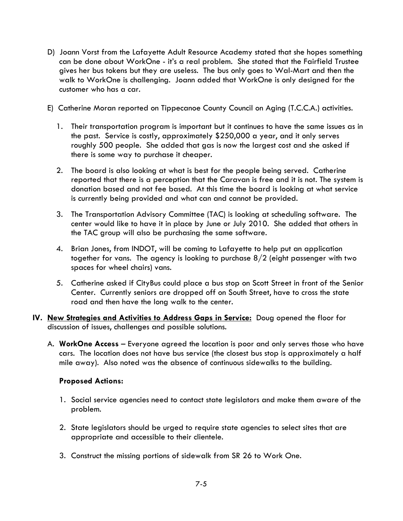- D) Joann Vorst from the Lafayette Adult Resource Academy stated that she hopes something can be done about WorkOne - it's a real problem. She stated that the Fairfield Trustee gives her bus tokens but they are useless. The bus only goes to Wal-Mart and then the walk to WorkOne is challenging. Joann added that WorkOne is only designed for the customer who has a car.
- E) Catherine Moran reported on Tippecanoe County Council on Aging (T.C.C.A.) activities.
	- there is some way to purchase it cheaper. 1. Their transportation program is important but it continues to have the same issues as in the past. Service is costly, approximately \$250,000 a year, and it only serves roughly 500 people. She added that gas is now the largest cost and she asked if
	- 2. The board is also looking at what is best for the people being served. Catherine reported that there is a perception that the Caravan is free and it is not. The system is donation based and not fee based. At this time the board is looking at what service is currently being provided and what can and cannot be provided.
	- 3. The Transportation Advisory Committee (TAC) is looking at scheduling software. The center would like to have it in place by June or July 2010. She added that others in the TAC group will also be purchasing the same software.
	- 4. Brian Jones, from INDOT, will be coming to Lafayette to help put an application together for vans. The agency is looking to purchase  $8/2$  (eight passenger with two spaces for wheel chairs) vans.
	- 5. Catherine asked if CityBus could place a bus stop on Scott Street in front of the Senior Center. Currently seniors are dropped off on South Street, have to cross the state road and then have the long walk to the center.
- discussion of issues, challenges and possible solutions. **IV. New Strategies and Activities to Address Gaps in Service:** Doug opened the floor for
	- mile away). Also noted was the absence of continuous sidewalks to the building. A. WorkOne Access – Everyone agreed the location is poor and only serves those who have cars. The location does not have bus service (the closest bus stop is approximately a half

# **Proposed Actions:**

- 1. Social service agencies need to contact state legislators and make them aware of the problem.
- 2. State legislators should be urged to require state agencies to select sites that are appropriate and accessible to their clientele.
- 3. Construct the missing portions of sidewalk from SR 26 to Work One.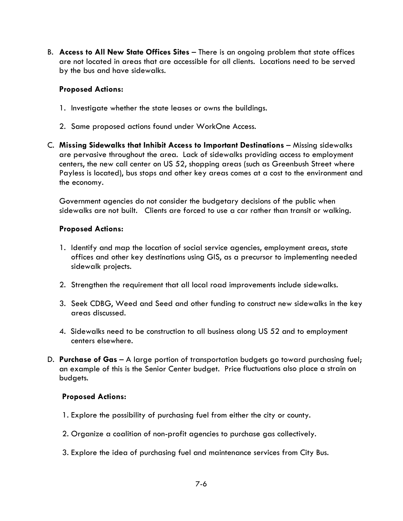B. **Access to All New State Offices Sites** – There is an ongoing problem that state offices are not located in areas that are accessible for all clients. Locations need to be served by the bus and have sidewalks.

#### **Proposed Actions:**

- 1. Investigate whether the state leases or owns the buildings.
- 2. Same proposed actions found under WorkOne Access.
- C. Missing Sidewalks that Inhibit Access to Important Destinations Missing sidewalks are pervasive throughout the area. Lack of sidewalks providing access to employment centers, the new call center on US 52, shopping areas (such as Greenbush Street where Payless is located), bus stops and other key areas comes at a cost to the environment and the economy.

 sidewalks are not built. Clients are forced to use a car rather than transit or walking. Government agencies do not consider the budgetary decisions of the public when

#### **Proposed Actions:**

- 1. Identify and map the location of social service agencies, employment areas, state offices and other key destinations using GIS, as a precursor to implementing needed sidewalk projects.
- 2. Strengthen the requirement that all local road improvements include sidewalks.
- areas discussed. 3. Seek CDBG, Weed and Seed and other funding to construct new sidewalks in the key
- 4. Sidewalks need to be construction to all business along US 52 and to employment centers elsewhere.
- budgets. D. **Purchase of Gas** – A large portion of transportation budgets go toward purchasing fuel; an example of this is the Senior Center budget. Price fluctuations also place a strain on

# **Proposed Actions:**

- 1. Explore the possibility of purchasing fuel from either the city or county.
- 2. Organize a coalition of non-profit agencies to purchase gas collectively.
- 3. Explore the idea of purchasing fuel and maintenance services from City Bus.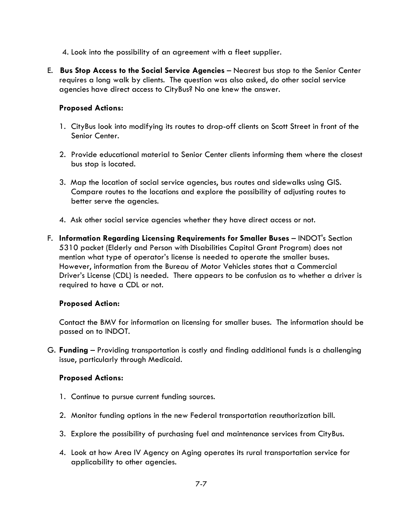- 4. Look into the possibility of an agreement with a fleet supplier.
- E. **Bus Stop Access to the Social Service Agencies**  Nearest bus stop to the Senior Center requires a long walk by clients. The question was also asked, do other social service agencies have direct access to CityBus? No one knew the answer.

# **Proposed Actions:**

- 1. CityBus look into modifying its routes to drop-off clients on Scott Street in front of the Senior Center.
- 2. Provide educational material to Senior Center clients informing them where the closest bus stop is located.
- 3. Map the location of social service agencies, bus routes and sidewalks using GIS. Compare routes to the locations and explore the possibility of adjusting routes to better serve the agencies.
- 4. Ask other social service agencies whether they have direct access or not.
- F. **Information Regarding Licensing Requirements for Smaller Buses**  INDOT's Section 5310 packet (Elderly and Person with Disabilities Capital Grant Program) does not mention what type of operator's license is needed to operate the smaller buses. However, information from the Bureau of Motor Vehicles states that a Commercial Driver's License (CDL) is needed. There appears to be confusion as to whether a driver is required to have a CDL or not.

# **Proposed Action:**

Contact the BMV for information on licensing for smaller buses. The information should be passed on to INDOT.

G. **Funding** – Providing transportation is costly and finding additional funds is a challenging issue, particularly through Medicaid.

# **Proposed Actions:**

- 1. Continue to pursue current funding sources.
- 2. Monitor funding options in the new Federal transportation reauthorization bill.
- 3. Explore the possibility of purchasing fuel and maintenance services from CityBus.
- 4. Look at how Area IV Agency on Aging operates its rural transportation service for applicability to other agencies.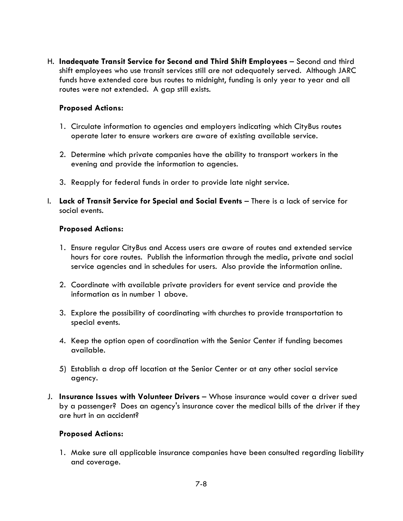H. **Inadequate Transit Service for Second and Third Shift Employees** – Second and third shift employees who use transit services still are not adequately served. Although JARC funds have extended core bus routes to midnight, funding is only year to year and all routes were not extended. A gap still exists.

# **Proposed Actions:**

- 1. Circulate information to agencies and employers indicating which CityBus routes operate later to ensure workers are aware of existing available service.
- 2. Determine which private companies have the ability to transport workers in the evening and provide the information to agencies.
- 3. Reapply for federal funds in order to provide late night service.
- I. **Lack of Transit Service for Special and Social Events**  There is a lack of service for social events.

#### **Proposed Actions:**

- 1. Ensure regular CityBus and Access users are aware of routes and extended service hours for core routes. Publish the information through the media, private and social service agencies and in schedules for users. Also provide the information online.
- 2. Coordinate with available private providers for event service and provide the information as in number 1 above.
- 3. Explore the possibility of coordinating with churches to provide transportation to special events.
- 4. Keep the option open of coordination with the Senior Center if funding becomes available.
- 5) Establish a drop off location at the Senior Center or at any other social service agency.
- J. **Insurance Issues with Volunteer Drivers**  Whose insurance would cover a driver sued by a passenger? Does an agency's insurance cover the medical bills of the driver if they are hurt in an accident?

# **Proposed Actions:**

1. Make sure all applicable insurance companies have been consulted regarding liability and coverage.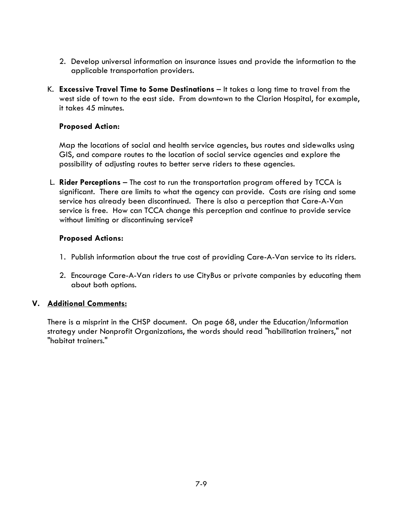- 2. Develop universal information on insurance issues and provide the information to the applicable transportation providers.
- K. **Excessive Travel Time to Some Destinations**  It takes a long time to travel from the west side of town to the east side. From downtown to the Clarion Hospital, for example, it takes 45 minutes.

#### **Proposed Action:**

Map the locations of social and health service agencies, bus routes and sidewalks using GIS, and compare routes to the location of social service agencies and explore the possibility of adjusting routes to better serve riders to these agencies.

L. **Rider Perceptions** – The cost to run the transportation program offered by TCCA is significant. There are limits to what the agency can provide. Costs are rising and some service has already been discontinued. There is also a perception that Care-A-Van service is free. How can TCCA change this perception and continue to provide service without limiting or discontinuing service?

#### **Proposed Actions:**

- 1. Publish information about the true cost of providing Care-A-Van service to its riders.
- 2. Encourage Care-A-Van riders to use CityBus or private companies by educating them about both options.

# **V. Additional Comments:**

There is a misprint in the CHSP document. On page 68, under the Education/Information strategy under Nonprofit Organizations, the words should read "habilitation trainers," not "habitat trainers."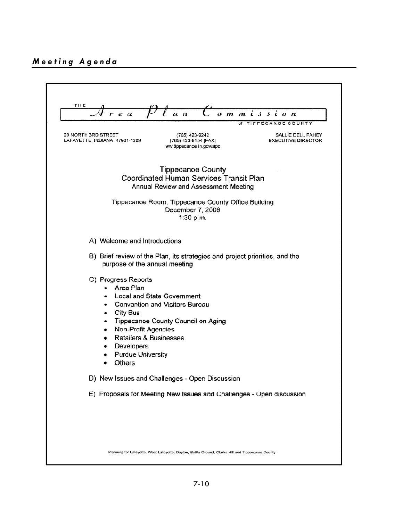# *Meeting Agenda*

| THE<br>r e a                                                                                                                                                                    | a <sub>n</sub>                                                                                                   | $o$ $m$ $m$ $i$ $s$ $s$ $i$ $o$ $n$<br>TIPPECANOE COUNTY<br>of |
|---------------------------------------------------------------------------------------------------------------------------------------------------------------------------------|------------------------------------------------------------------------------------------------------------------|----------------------------------------------------------------|
| 20 NORTH 3RD STREET<br>LAFAYETTE, INDIANA 47901-1209                                                                                                                            | (765) 423-9242<br>(765) 423-9154 [FAX]<br>ww.tippecanoe.in.gov/apc                                               | SALLIE DELL FAHEY<br><b>EXECUTIVE DIRECTOR</b>                 |
|                                                                                                                                                                                 | <b>Tippecanoe County</b><br>Coordinated Human Services Transit Plan<br>Annual Review and Assessment Meeting      |                                                                |
|                                                                                                                                                                                 | Tippecanoe Room, Tippecanoe County Office Building<br>December 7, 2009<br>1:30 p.m.                              |                                                                |
| A) Welcome and Introductions                                                                                                                                                    |                                                                                                                  |                                                                |
| purpose of the annual meeting                                                                                                                                                   | B) Brief review of the Plan, its strategies and project priorities, and the                                      |                                                                |
| C) Progress Reports<br>Area Plan<br>٠<br>٠<br>City Bus<br>٠<br>۰<br>Non-Profit Agencies<br>٠<br>Retailers & Businesses<br>Developers<br>٠<br><b>Purdue University</b><br>Others | <b>Local and State Government</b><br><b>Convention and Visitors Bureau</b><br>Tippecanoe County Council on Aging |                                                                |
|                                                                                                                                                                                 | D) New Issues and Challenges - Open Discussion                                                                   |                                                                |
|                                                                                                                                                                                 | E) Proposals for Meeting New Issues and Challenges - Open discussion                                             |                                                                |